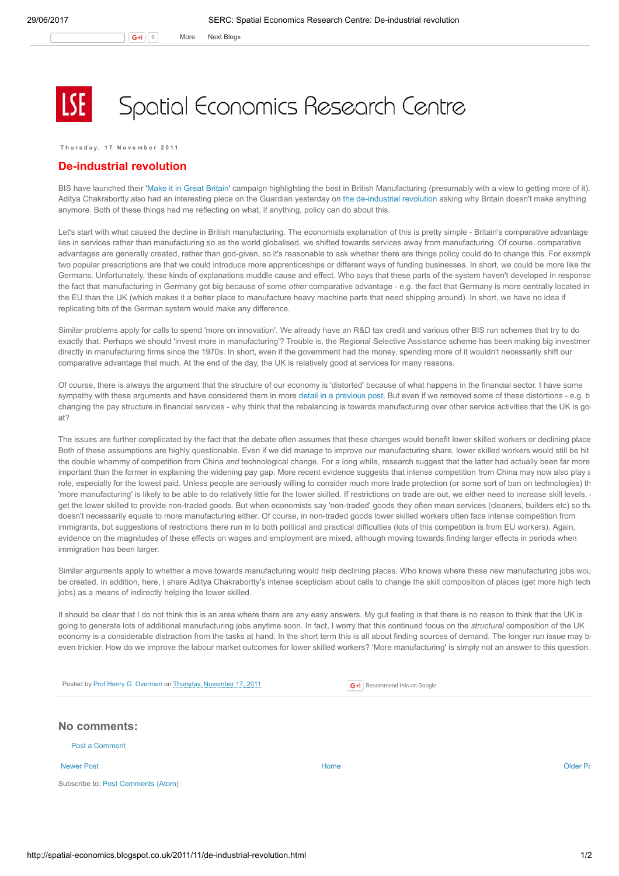## Spatial Economics Research Centre

Thursday, 17 November 2011

## De-industrial revolution

BIS have launched their 'Make it in Great [Britain](http://www.bis.gov.uk/news/topstories/2011/Nov/make-it-in-great-britain)' campaign highlighting the best in British Manufacturing (presumably with a view to getting more of it). Aditya Chakrabortty also had an interesting piece on the Guardian yesterday on the [de-industrial](http://www.guardian.co.uk/business/2011/nov/16/why-britain-doesnt-make-things-manufacturing) revolution asking why Britain doesn't make anything anymore. Both of these things had me reflecting on what, if anything, policy can do about this.

Let's start with what caused the decline in British manufacturing. The economists explanation of this is pretty simple - Britain's comparative advantage lies in services rather than manufacturing so as the world globalised, we shifted towards services away from manufacturing. Of course, comparative advantages are generally created, rather than god-given, so it's reasonable to ask whether there are things policy could do to change this. For example two popular prescriptions are that we could introduce more apprenticeships or different ways of funding businesses. In short, we could be more like the Germans. Unfortunately, these kinds of explanations muddle cause and effect. Who says that these parts of the system haven't developed in response the fact that manufacturing in Germany got big because of some other comparative advantage - e.g. the fact that Germany is more centrally located in the EU than the UK (which makes it a better place to manufacture heavy machine parts that need shipping around). In short, we have no idea if replicating bits of the German system would make any difference.

Similar problems apply for calls to spend 'more on innovation'. We already have an R&D tax credit and various other BIS run schemes that try to do exactly that. Perhaps we should 'invest more in manufacturing'? Trouble is, the Regional Selective Assistance scheme has been making big investment directly in manufacturing firms since the 1970s. In short, even if the government had the money, spending more of it wouldn't necessarily shift our comparative advantage that much. At the end of the day, the UK is relatively good at services for many reasons.

Of course, there is always the argument that the structure of our economy is 'distorted' because of what happens in the financial sector. I have some sympathy with these arguments and have considered them in more detail in a [previous](http://spatial-economics.blogspot.com/2011/09/made-in-britain.html) post. But even if we removed some of these distortions - e.g. b changing the pay structure in financial services - why think that the rebalancing is towards manufacturing over other service activities that the UK is go at?

The issues are further complicated by the fact that the debate often assumes that these changes would benefit lower skilled workers or declining place Both of these assumptions are highly questionable. Even if we did manage to improve our manufacturing share, lower skilled workers would still be hit the double whammy of competition from China and technological change. For a long while, research suggest that the latter had actually been far more important than the former in explaining the widening pay gap. More recent evidence suggests that intense competition from China may now also play a role, especially for the lowest paid. Unless people are seriously willing to consider much more trade protection (or some sort of ban on technologies) th 'more manufacturing' is likely to be able to do relatively little for the lower skilled. If restrictions on trade are out, we either need to increase skill levels, get the lower skilled to provide non-traded goods. But when economists say 'non-traded' goods they often mean services (cleaners, builders etc) so that doesn't necessarily equate to more manufacturing either. Of course, in non-traded goods lower skilled workers often face intense competition from immigrants, but suggestions of restrictions there run in to both political and practical difficulties (lots of this competition is from EU workers). Again, evidence on the magnitudes of these effects on wages and employment are mixed, although moving towards finding larger effects in periods when immigration has been larger

Similar arguments apply to whether a move towards manufacturing would help declining places. Who knows where these new manufacturing jobs wou be created. In addition, here, I share Aditya Chakrabortty's intense scepticism about calls to change the skill composition of places (get more high tech jobs) as a means of indirectly helping the lower skilled.

It should be clear that I do not think this is an area where there are any easy answers. My gut feeling is that there is no reason to think that the UK is going to generate lots of additional manufacturing jobs anytime soon. In fact, I worry that this continued focus on the structural composition of the UK economy is a considerable distraction from the tasks at hand. In the short term this is all about finding sources of demand. The longer run issue may be even trickier. How do we improve the labour market outcomes for lower skilled workers? 'More manufacturing' is simply not an answer to this question.

Posted by Prof Henry G. [Overman](https://www.blogger.com/profile/15203876610491317062) on Thursday, [November](http://spatial-economics.blogspot.co.uk/2011/11/de-industrial-revolution.html) 17, 2011

G+1 Recommend this on Google

| No comments: |  |
|--------------|--|
|--------------|--|

Post a [Comment](https://www.blogger.com/comment.g?blogID=974562301377041914&postID=2977886873582394000)

Subscribe to: Post [Comments](http://spatial-economics.blogspot.com/feeds/2977886873582394000/comments/default) (Atom)

[Newer](http://spatial-economics.blogspot.co.uk/2011/11/housing-strategy.html) Post **New Accounts Accounts Accounts Accounts** [Home](http://spatial-economics.blogspot.co.uk/) **Home** Accounts Accounts Accounts [Older](http://spatial-economics.blogspot.co.uk/2011/11/displacement-zones.html) Post of the Older Po